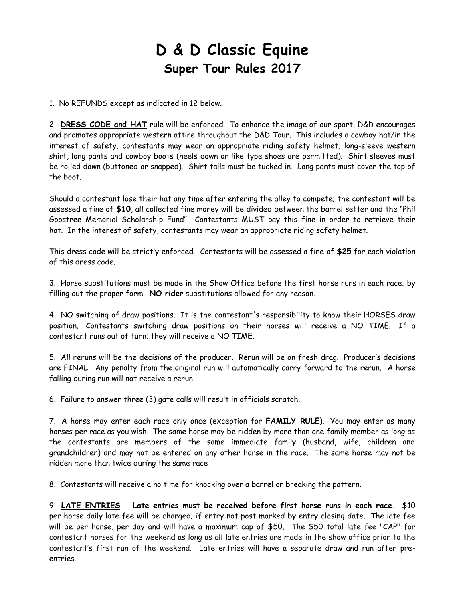# **D & D Classic Equine Super Tour Rules 2017**

1. No REFUNDS except as indicated in 12 below.

2. **[DRESS CODE and HAT](file:///C:/Users/chuck/Desktop/My%20Web%20Sites/2015/Rules_2015/rule_DressCode_2014.asp)** rule will be enforced. To enhance the image of our sport, D&D encourages and promotes appropriate western attire throughout the D&D Tour. This includes a cowboy hat/in the interest of safety, contestants may wear an appropriate riding safety helmet, long-sleeve western shirt, long pants and cowboy boots (heels down or like type shoes are permitted). Shirt sleeves must be rolled down (buttoned or snapped). Shirt tails must be tucked in. Long pants must cover the top of the boot.

Should a contestant lose their hat any time after entering the alley to compete; the contestant will be assessed a fine of **\$10**, all collected fine money will be divided between the barrel setter and the "Phil Goostree Memorial Scholarship Fund". Contestants MUST pay this fine in order to retrieve their hat. In the interest of safety, contestants may wear an appropriate riding safety helmet.

This dress code will be strictly enforced. Contestants will be assessed a fine of **\$25** for each violation of this dress code.

3. Horse substitutions must be made in the Show Office before the first horse runs in each race; by filling out the proper form. **NO rider** substitutions allowed for any reason.

4. NO switching of draw positions. It is the contestant's responsibility to know their HORSES draw position. Contestants switching draw positions on their horses will receive a NO TIME. If a contestant runs out of turn; they will receive a NO TIME.

5. All reruns will be the decisions of the producer. Rerun will be on fresh drag. Producer's decisions are FINAL. Any penalty from the original run will automatically carry forward to the rerun. A horse falling during run will not receive a rerun.

6. Failure to answer three (3) gate calls will result in officials scratch.

7. A horse may enter each race only once (exception for **[FAMILY RULE](file:///C:/Users/chuck/Desktop/My%20Web%20Sites/2015/Rules_2015/rule_DressCode_2014.asp)**). You may enter as many horses per race as you wish. The same horse may be ridden by more than one family member as long as the contestants are members of the same immediate family (husband, wife, children and grandchildren) and may not be entered on any other horse in the race. The same horse may not be ridden more than twice during the same race

8. Contestants will receive a no time for knocking over a barrel or breaking the pattern.

9. **[LATE ENTRIES](file:///C:/Users/chuck/Desktop/My%20Web%20Sites/2015/Rules_2015/rule_LateFee_2014.asp)** -- **Late entries must be received before first horse runs in each race.** \$10 per horse daily late fee will be charged; if entry not post marked by entry closing date. The late fee will be per horse, per day and will have a maximum cap of \$50. The \$50 total late fee "CAP" for contestant horses for the weekend as long as all late entries are made in the show office prior to the contestant's first run of the weekend. Late entries will have a separate draw and run after preentries.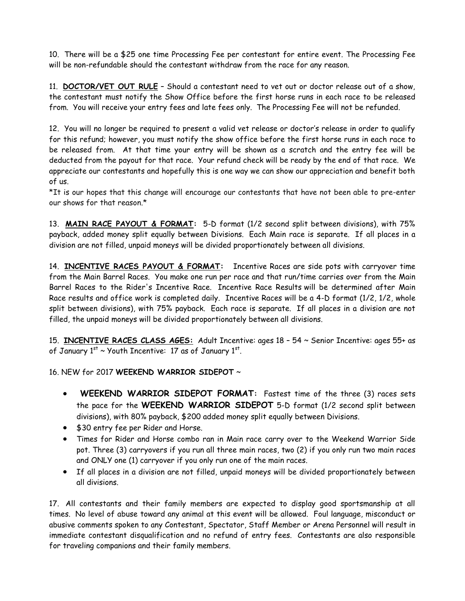10. There will be a \$25 one time Processing Fee per contestant for entire event. The Processing Fee will be non-refundable should the contestant withdraw from the race for any reason.

11. **[DOCTOR/VET OUT RULE](file:///C:/Users/chuck/Desktop/My%20Web%20Sites/2015/Rules_2015/rule_VetOut_2014.asp)** – Should a contestant need to vet out or doctor release out of a show, the contestant must notify the Show Office before the first horse runs in each race to be released from. You will receive your entry fees and late fees only. The Processing Fee will not be refunded.

12. You will no longer be required to present a valid vet release or doctor's release in order to qualify for this refund; however, you must notify the show office before the first horse runs in each race to be released from. At that time your entry will be shown as a scratch and the entry fee will be deducted from the payout for that race. Your refund check will be ready by the end of that race. We appreciate our contestants and hopefully this is one way we can show our appreciation and benefit both of us.

\*It is our hopes that this change will encourage our contestants that have not been able to pre-enter our shows for that reason.\*

13. **[MAIN RACE PAYOUT & FORMAT:](file:///C:/Users/chuck/Desktop/My%20Web%20Sites/2015/Rules_2015/rule_PlacesPaid_2014.asp)** 5-D format (1/2 second split between divisions), with 75% payback, added money split equally between Divisions. Each Main race is separate. If all places in a division are not filled, unpaid moneys will be divided proportionately between all divisions.

14. **[INCENTIVE RACES PAYOUT & FORMAT:](file:///C:/Users/chuck/Desktop/My%20Web%20Sites/2015/Rules_2015/rule_PlacesPaid_2014.asp)** Incentive Races are side pots with carryover time from the Main Barrel Races. You make one run per race and that run/time carries over from the Main Barrel Races to the Rider's Incentive Race. Incentive Race Results will be determined after Main Race results and office work is completed daily. Incentive Races will be a 4-D format (1/2, 1/2, whole split between divisions), with 75% payback. Each race is separate. If all places in a division are not filled, the unpaid moneys will be divided proportionately between all divisions.

15. **[INCENTIVE RACES](file:///C:/Users/chuck/Desktop/My%20Web%20Sites/2015/Rules_2015/rule_PlacesPaid_2014.asp) CLASS AGES:** Adult Incentive: ages 18 – 54 ~ Senior Incentive: ages 55+ as of January  $1^{st}$  ~ Youth Incentive: 17 as of January  $1^{st}$ .

16. NEW for 2017 **WEEKEND WARRIOR SIDEPOT** ~

- **WEEKEND WARRIOR SIDEPOT FORMAT:** Fastest time of the three (3) races sets the pace for the **WEEKEND WARRIOR SIDEPOT** 5-D format (1/2 second split between divisions), with 80% payback, \$200 added money split equally between Divisions.
- \$30 entry fee per Rider and Horse.
- Times for Rider and Horse combo ran in Main race carry over to the Weekend Warrior Side pot. Three (3) carryovers if you run all three main races, two (2) if you only run two main races and ONLY one (1) carryover if you only run one of the main races.
- If all places in a division are not filled, unpaid moneys will be divided proportionately between all divisions.

17. All contestants and their family members are expected to display good sportsmanship at all times. No level of abuse toward any animal at this event will be allowed. Foul language, misconduct or abusive comments spoken to any Contestant, Spectator, Staff Member or Arena Personnel will result in immediate contestant disqualification and no refund of entry fees. Contestants are also responsible for traveling companions and their family members.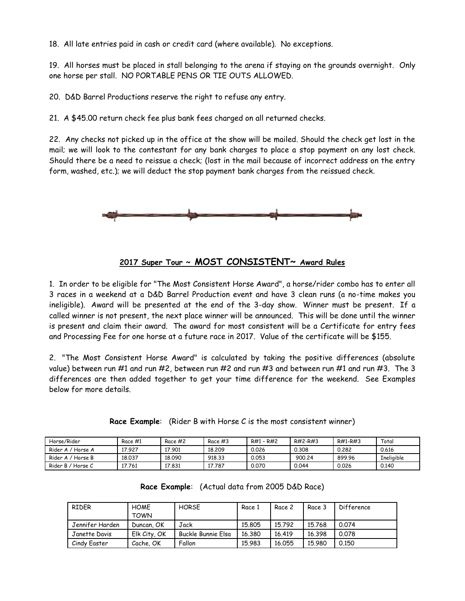18. All late entries paid in cash or credit card (where available). No exceptions.

19. All horses must be placed in stall belonging to the arena if staying on the grounds overnight. Only one horse per stall. NO PORTABLE PENS OR TIE OUTS ALLOWED.

20. D&D Barrel Productions reserve the right to refuse any entry.

21. A \$45.00 return check fee plus bank fees charged on all returned checks.

22. Any checks not picked up in the office at the show will be mailed. Should the check get lost in the mail; we will look to the contestant for any bank charges to place a stop payment on any lost check. Should there be a need to reissue a check; (lost in the mail because of incorrect address on the entry form, washed, etc.); we will deduct the stop payment bank charges from the reissued check.



#### **2017 Super Tour ~ MOST CONSISTENT~ Award Rules**

1. In order to be eligible for "The Most Consistent Horse Award", a horse/rider combo has to enter all 3 races in a weekend at a D&D Barrel Production event and have 3 clean runs (a no-time makes you ineligible). Award will be presented at the end of the 3-day show. Winner must be present. If a called winner is not present, the next place winner will be announced. This will be done until the winner is present and claim their award. The award for most consistent will be a Certificate for entry fees and Processing Fee for one horse at a future race in 2017. Value of the certificate will be \$155.

2. "The Most Consistent Horse Award" is calculated by taking the positive differences (absolute value) between run #1 and run #2, between run #2 and run #3 and between run #1 and run #3. The 3 differences are then added together to get your time difference for the weekend. See Examples below for more details.

| Horse/Rider            | Race #1 | Race #2 | Race #3 | $R#1 - R#2$ | R#2-R#3 | R#1-R#3 | Total             |
|------------------------|---------|---------|---------|-------------|---------|---------|-------------------|
| Rider A /<br>' Horse A | 17.927  | 17.901  | 18,209  | 0.026       | 0.308   | 0.282   | 0.616             |
| Rider A / Horse B      | 18.037  | 18.090  | 918.33  | 0.053       | 900.24  | 899.96  | <b>Ineliaible</b> |
| Rider B / Horse C      | 17.761  | 17.831  | 17.787  | 0.070       | 0.044   | 0.026   | 0.140             |

**Race Example**: (Rider B with Horse C is the most consistent winner)

|  | Race Example: (Actual data from 2005 D&D Race) |  |
|--|------------------------------------------------|--|
|--|------------------------------------------------|--|

| RIDER           | <b>HOME</b><br><b>TOWN</b> | <b>HORSE</b>       | Race 1 | Race 2 | Race 3 | Difference |
|-----------------|----------------------------|--------------------|--------|--------|--------|------------|
| Jennifer Harden | Duncan, OK                 | Jack               | 15,805 | 15.792 | 15.768 | 0.074      |
| Janette Davis   | Elk City, OK               | Buckle Bunnie Elsa | 16,380 | 16.419 | 16.398 | 0.078      |
| Cindy Easter    | Cache, OK                  | Fallon             | 15.983 | 16.055 | 15.980 | 0.150      |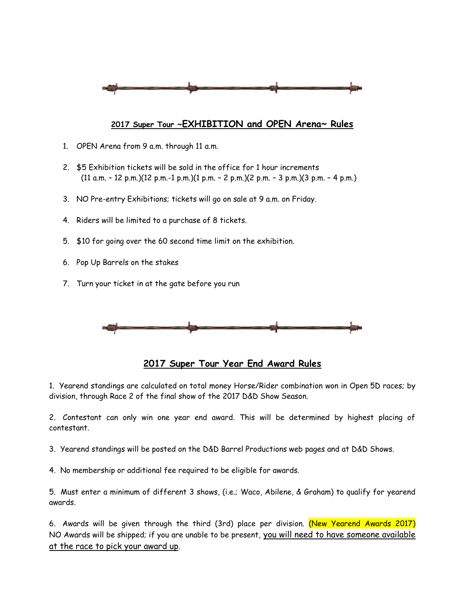

#### **2017 Super Tour ~EXHIBITION and OPEN Arena~ Rules**

- 1. OPEN Arena from 9 a.m. through 11 a.m.
- 2. \$5 Exhibition tickets will be sold in the office for 1 hour increments (11 a.m. – 12 p.m.)(12 p.m.-1 p.m.)(1 p.m. – 2 p.m.)(2 p.m. – 3 p.m.)(3 p.m. – 4 p.m.)
- 3. NO Pre-entry Exhibitions; tickets will go on sale at 9 a.m. on Friday.
- 4. Riders will be limited to a purchase of 8 tickets.
- 5. \$10 for going over the 60 second time limit on the exhibition.
- 6. Pop Up Barrels on the stakes
- 7. Turn your ticket in at the gate before you run



### **2017 Super Tour Year End Award Rules**

1. Yearend standings are calculated on total money Horse/Rider combination won in Open 5D races; by division, through Race 2 of the final show of the 2017 D&D Show Season.

2. Contestant can only win one year end award. This will be determined by highest placing of contestant.

3. Yearend standings will be posted on the D&D Barrel Productions web pages and at D&D Shows.

4. No membership or additional fee required to be eligible for awards.

5. Must enter a minimum of different 3 shows, (i.e.; Waco, Abilene, & Graham) to qualify for yearend awards.

6. Awards will be given through the third (3rd) place per division. (New Yearend Awards 2017) NO Awards will be shipped; if you are unable to be present, you will need to have someone available at the race to pick your award up.